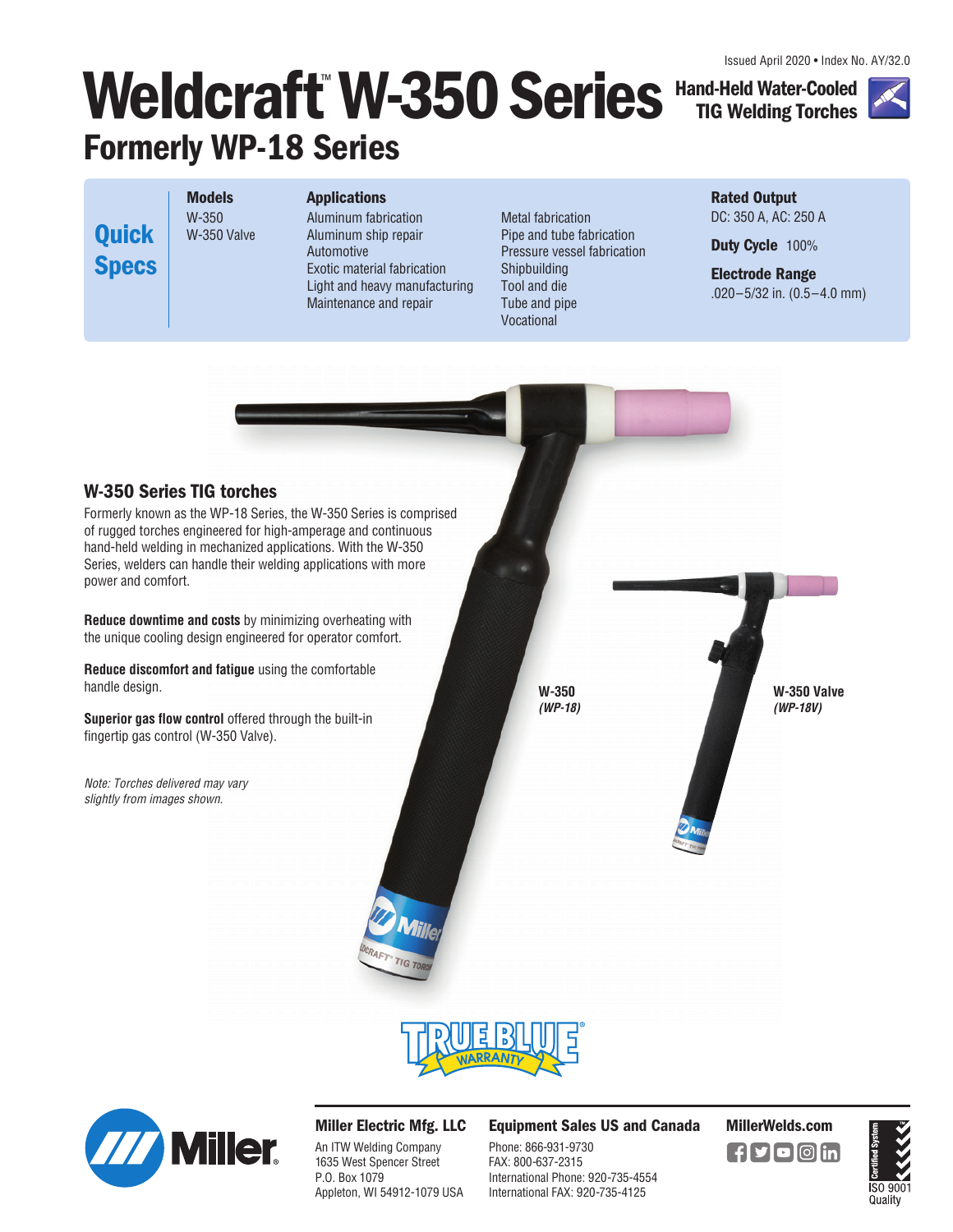# **Weldcraft**™ **W-350 Series Formerly WP-18 Series Hand-Held Water-Cooled**

**Models**  W-350 W-350 Valve **Quick Specs**

## **Applications**

Aluminum fabrication Aluminum ship repair Automotive Exotic material fabrication Light and heavy manufacturing Maintenance and repair

Metal fabrication Pipe and tube fabrication Pressure vessel fabrication Shipbuilding Tool and die Tube and pipe Vocational

**Rated Output**  DC: 350 A, AC: 250 A

**TIG Welding Torches**

**Duty Cycle** 100%

**Electrode Range**  .020–5/32 in. (0.5–4.0 mm)







## **Miller Electric Mfg. LLC**

An ITW Welding Company 1635 West Spencer Street P.O. Box 1079 Appleton, WI 54912-1079 USA

## **Equipment Sales US and Canada MillerWelds.com**

Phone: 866-931-9730 FAX: 800-637-2315 International Phone: 920-735-4554 International FAX: 920-735-4125



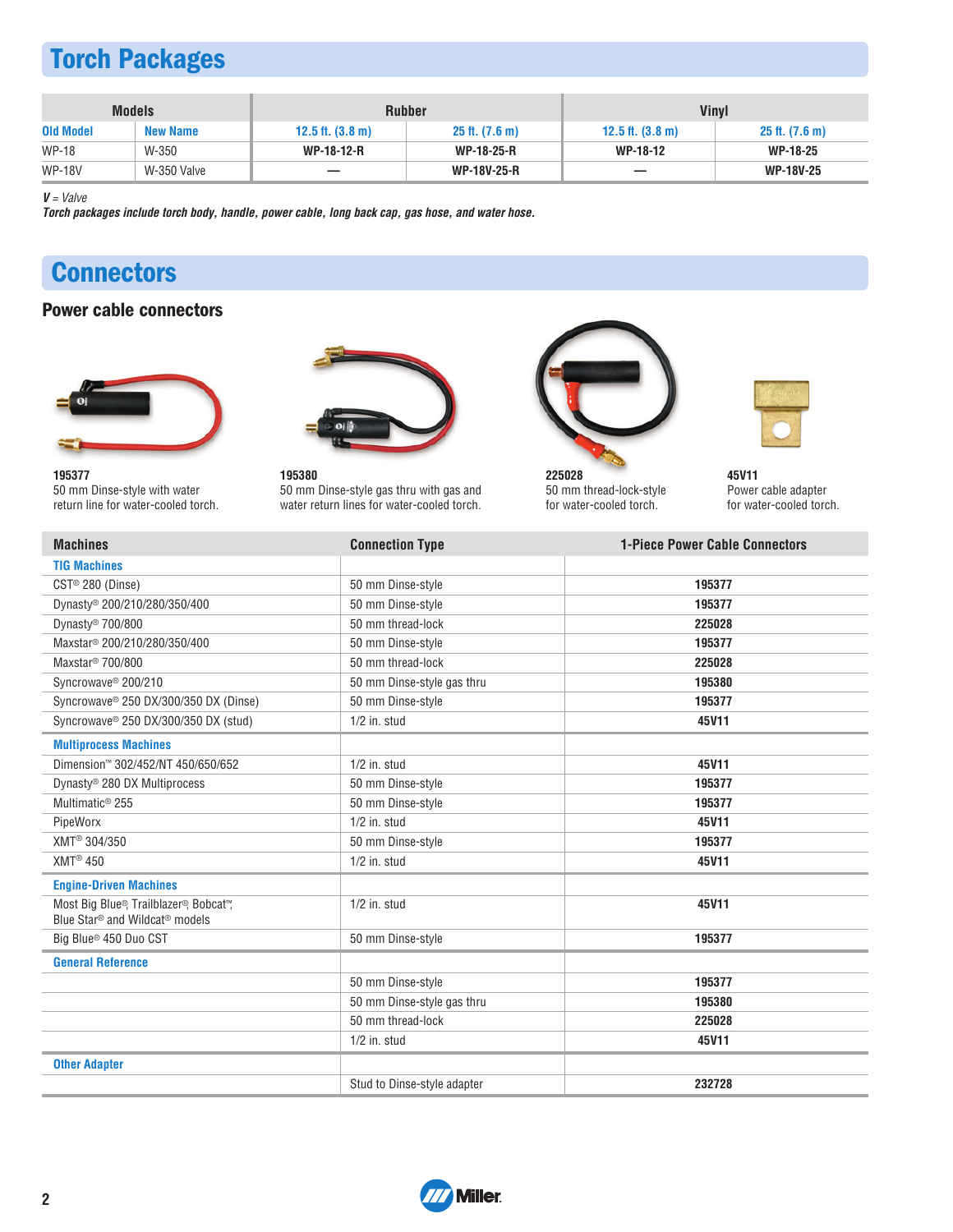# **Torch Packages**

|                  | <b>Models</b>   |                            | <b>Rubber</b>              | <b>Vinyl</b>               |                            |
|------------------|-----------------|----------------------------|----------------------------|----------------------------|----------------------------|
| <b>Old Model</b> | <b>New Name</b> | 12.5 ft. $(3.8 \text{ m})$ | $25$ ft. $(7.6 \text{ m})$ | 12.5 ft. $(3.8 \text{ m})$ | $25$ ft. $(7.6 \text{ m})$ |
| <b>WP-18</b>     | W-350           | <b>WP-18-12-R</b>          | <b>WP-18-25-R</b>          | WP-18-12                   | <b>WP-18-25</b>            |
| <b>WP-18V</b>    | W-350 Valve     |                            | <b>WP-18V-25-R</b>         | _                          | <b>WP-18V-25</b>           |

**V** = Valve

**Torch packages include torch body, handle, power cable, long back cap, gas hose, and water hose.**

# **Connectors**

## **Power cable connectors**



**195377**  50 mm Dinse-style with water return line for water-cooled torch.



**195380**  50 mm Dinse-style gas thru with gas and water return lines for water-cooled torch.



**225028**  50 mm thread-lock-style for water-cooled torch.



**45V11**  Power cable adapter for water-cooled torch.

| <b>Machines</b>                                                                                  | <b>Connection Type</b>      | <b>1-Piece Power Cable Connectors</b> |
|--------------------------------------------------------------------------------------------------|-----------------------------|---------------------------------------|
| <b>TIG Machines</b>                                                                              |                             |                                       |
| CST <sup>®</sup> 280 (Dinse)                                                                     | 50 mm Dinse-style           | 195377                                |
| Dynasty® 200/210/280/350/400                                                                     | 50 mm Dinse-style           | 195377                                |
| Dynasty <sup>®</sup> 700/800                                                                     | 50 mm thread-lock           | 225028                                |
| Maxstar <sup>®</sup> 200/210/280/350/400                                                         | 50 mm Dinse-style           | 195377                                |
| Maxstar <sup>®</sup> 700/800                                                                     | 50 mm thread-lock           | 225028                                |
| Syncrowave <sup>®</sup> 200/210                                                                  | 50 mm Dinse-style gas thru  | 195380                                |
| Syncrowave <sup>®</sup> 250 DX/300/350 DX (Dinse)                                                | 50 mm Dinse-style           | 195377                                |
| Syncrowave® 250 DX/300/350 DX (stud)                                                             | $1/2$ in. stud              | 45V11                                 |
| <b>Multiprocess Machines</b>                                                                     |                             |                                       |
| Dimension™ 302/452/NT 450/650/652                                                                | $1/2$ in. stud              | 45V11                                 |
| Dynasty® 280 DX Multiprocess                                                                     | 50 mm Dinse-style           | 195377                                |
| Multimatic <sup>®</sup> 255                                                                      | 50 mm Dinse-style           | 195377                                |
| PipeWorx                                                                                         | $1/2$ in. stud              | 45V11                                 |
| XMT <sup>®</sup> 304/350                                                                         | 50 mm Dinse-style           | 195377                                |
| $XMT^{\circledR}$ 450                                                                            | $1/2$ in. stud              | 45V11                                 |
| <b>Engine-Driven Machines</b>                                                                    |                             |                                       |
| Most Big Blue®, Trailblazer®, Bobcat™,<br>Blue Star <sup>®</sup> and Wildcat <sup>®</sup> models | $1/2$ in. stud              | 45V11                                 |
| Big Blue <sup>®</sup> 450 Duo CST                                                                | 50 mm Dinse-style           | 195377                                |
| <b>General Reference</b>                                                                         |                             |                                       |
|                                                                                                  | 50 mm Dinse-style           | 195377                                |
|                                                                                                  | 50 mm Dinse-style gas thru  | 195380                                |
|                                                                                                  | 50 mm thread-lock           | 225028                                |
|                                                                                                  | $1/2$ in. stud              | 45V11                                 |
| <b>Other Adapter</b>                                                                             |                             |                                       |
|                                                                                                  | Stud to Dinse-style adapter | 232728                                |

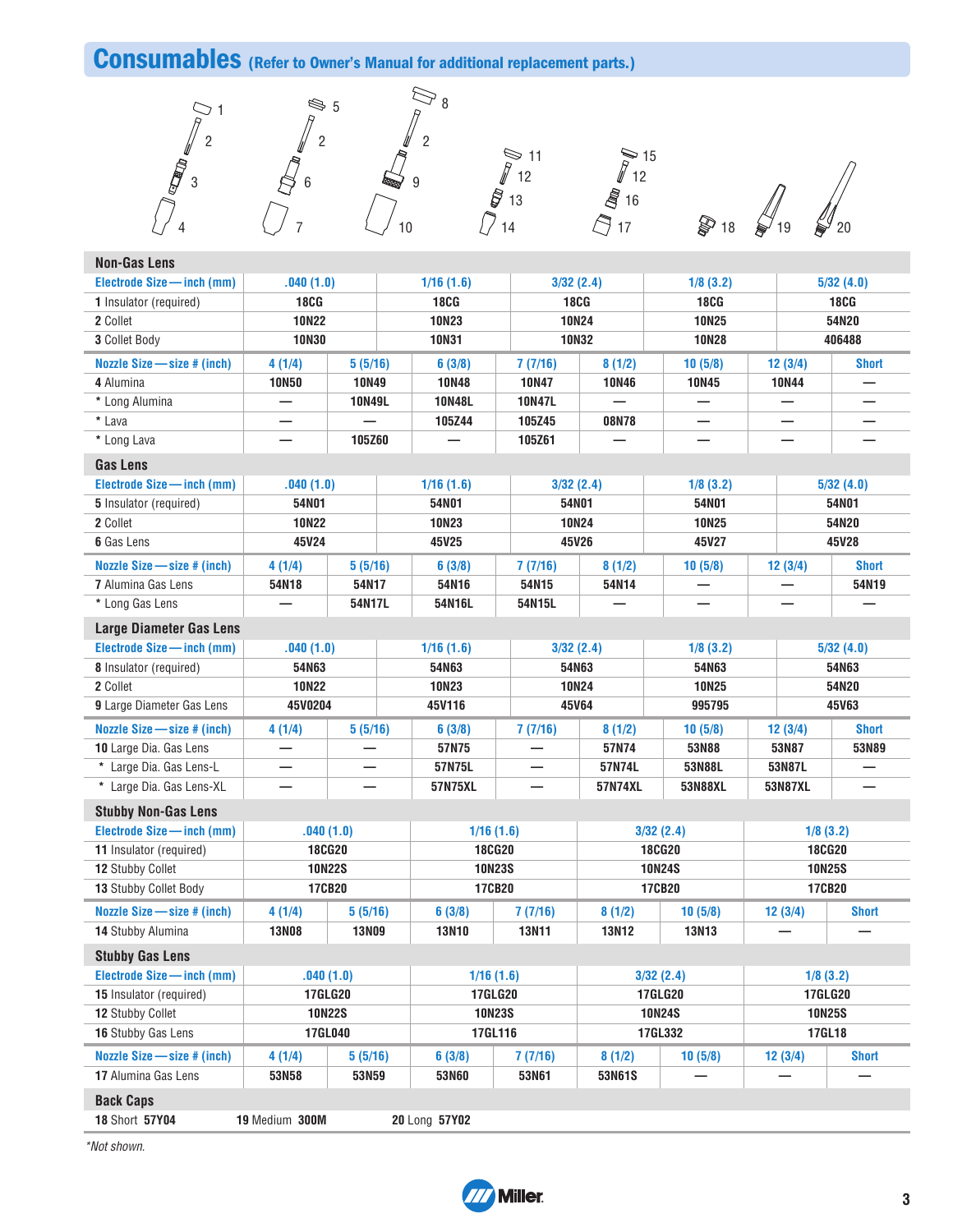## **Consumables (Refer to Owner's Manual for additional replacement parts.)**





11  $\approx$  15 

**18** 18 **b** 19 **b** 20

| <b>Non-Gas Lens</b>             |              |                |               |                                                 |              |                |                |              |
|---------------------------------|--------------|----------------|---------------|-------------------------------------------------|--------------|----------------|----------------|--------------|
| Electrode Size - inch (mm)      | .040(1.0)    |                | 1/16(1.6)     | 3/32(2.4)                                       |              | 1/8(3.2)       |                | 5/32(4.0)    |
| 1 Insulator (required)          | <b>18CG</b>  |                | <b>18CG</b>   | <b>18CG</b>                                     |              | <b>18CG</b>    |                | <b>18CG</b>  |
| 2 Collet                        | <b>10N22</b> |                | <b>10N23</b>  | <b>10N24</b>                                    |              | <b>10N25</b>   |                | 54N20        |
| 3 Collet Body                   | <b>10N30</b> |                | <b>10N31</b>  | <b>10N32</b>                                    |              | <b>10N28</b>   |                | 406488       |
| Nozzle Size - size # (inch)     | 4(1/4)       | 5(5/16)        | 6(3/8)        | 7(7/16)                                         | 8(1/2)       | 10(5/8)        | 12(3/4)        | <b>Short</b> |
| 4 Alumina                       | <b>10N50</b> | <b>10N49</b>   | <b>10N48</b>  | <b>10N47</b>                                    | <b>10N46</b> | <b>10N45</b>   | <b>10N44</b>   |              |
| * Long Alumina                  | —            | <b>10N49L</b>  | <b>10N48L</b> | <b>10N47L</b>                                   |              |                |                |              |
| * Lava                          |              |                | 105Z44        | 105Z45                                          | 08N78        |                |                |              |
| * Long Lava                     |              | 105Z60         |               | 105Z61                                          |              |                |                |              |
| <b>Gas Lens</b>                 |              |                |               |                                                 |              |                |                |              |
| Electrode Size - inch (mm)      | .040(1.0)    |                | 1/16(1.6)     | 3/32(2.4)                                       |              | 1/8(3.2)       |                | 5/32(4.0)    |
| 5 Insulator (required)          | 54N01        |                | 54N01         | 54N01                                           |              | 54N01          |                | 54N01        |
| 2 Collet                        | <b>10N22</b> |                | <b>10N23</b>  |                                                 | <b>10N24</b> | <b>10N25</b>   |                | 54N20        |
| 6 Gas Lens                      | 45V24        |                | 45V25         |                                                 | 45V26        | 45V27          |                | 45V28        |
| Nozzle Size - size # (inch)     | 4(1/4)       | 5(5/16)        | 6(3/8)        | 7(7/16)                                         | 8(1/2)       | 10(5/8)        | 12(3/4)        | <b>Short</b> |
| <b>7</b> Alumina Gas Lens       | 54N18        | 54N17          | 54N16         | 54N15                                           | 54N14        |                |                | 54N19        |
| * Long Gas Lens                 |              | 54N17L         | 54N16L        | 54N15L                                          |              |                |                |              |
| <b>Large Diameter Gas Lens</b>  |              |                |               |                                                 |              |                |                |              |
| Electrode Size - inch (mm)      | .040(1.0)    |                | 1/16(1.6)     | 3/32(2.4)                                       |              | 1/8(3.2)       |                | 5/32(4.0)    |
| 8 Insulator (required)          | 54N63        |                | 54N63         |                                                 | 54N63        | 54N63          |                | 54N63        |
| 2 Collet                        | <b>10N22</b> |                | <b>10N23</b>  | <b>10N24</b>                                    |              | <b>10N25</b>   |                | 54N20        |
| 9 Large Diameter Gas Lens       | 45V0204      |                | 45V116        |                                                 | 45V64        | 995795         |                | 45V63        |
| Nozzle Size $-$ size $#$ (inch) | 4(1/4)       | 5(5/16)        | 6(3/8)        | 7(7/16)                                         | 8(1/2)       | 10(5/8)        | 12(3/4)        | <b>Short</b> |
| 10 Large Dia. Gas Lens          |              |                | 57N75         |                                                 | 57N74        | 53N88          | 53N87          | 53N89        |
| * Large Dia. Gas Lens-L         |              |                | 57N75L        |                                                 | 57N74L       | 53N88L         | 53N87L         |              |
| * Large Dia. Gas Lens-XL        |              |                | 57N75XL       |                                                 | 57N74XL      | 53N88XL        | 53N87XL        |              |
| <b>Stubby Non-Gas Lens</b>      |              |                |               |                                                 |              |                |                |              |
| Electrode Size - inch (mm)      |              | .040(1.0)      | 1/16(1.6)     |                                                 |              | 3/32(2.4)      | 1/8(3.2)       |              |
| 11 Insulator (required)         |              | <b>18CG20</b>  | <b>18CG20</b> |                                                 |              | <b>18CG20</b>  | <b>18CG20</b>  |              |
| 12 Stubby Collet                |              | <b>10N22S</b>  | <b>10N23S</b> |                                                 |              | <b>10N24S</b>  | <b>10N25S</b>  |              |
| <b>13 Stubby Collet Body</b>    |              | 17CB20         | 17CB20        |                                                 |              | 17CB20         | 17CB20         |              |
| Nozzle Size - size # (inch)     | 4(1/4)       | 5(5/16)        | 6(3/8)        | 7(7/16)                                         | 8(1/2)       | 10(5/8)        | 12(3/4)        | <b>Short</b> |
| 14 Stubby Alumina               | <b>13N08</b> | <b>13N09</b>   | <b>13N10</b>  | <b>13N11</b>                                    | <b>13N12</b> | 13N13          |                |              |
| <b>Stubby Gas Lens</b>          |              |                |               |                                                 |              |                |                |              |
| Electrode Size - inch (mm)      |              | .040(1.0)      | 1/16(1.6)     |                                                 |              | 3/32(2.4)      | 1/8(3.2)       |              |
| 15 Insulator (required)         |              | <b>17GLG20</b> | 17GLG20       |                                                 |              | <b>17GLG20</b> | <b>17GLG20</b> |              |
| 12 Stubby Collet                |              | <b>10N22S</b>  |               | <b>10N23S</b><br><b>10N24S</b><br><b>10N25S</b> |              |                |                |              |
| 16 Stubby Gas Lens              |              | 17GL040        | 17GL116       |                                                 |              | 17GL332        | 17GL18         |              |
| Nozzle Size - size # (inch)     | 4 (1/4)      | 5(5/16)        | 6(3/8)        | 7(7/16)                                         | 8(1/2)       | 10(5/8)        | 12(3/4)        | <b>Short</b> |
| 17 Alumina Gas Lens             | 53N58        | 53N59          | 53N60         | 53N61                                           | 53N61S       |                |                |              |
| <b>Back Caps</b>                |              |                |               |                                                 |              |                |                |              |

Short **57Y04 19** Medium **300M 20** Long **57Y02** 

\*Not shown.